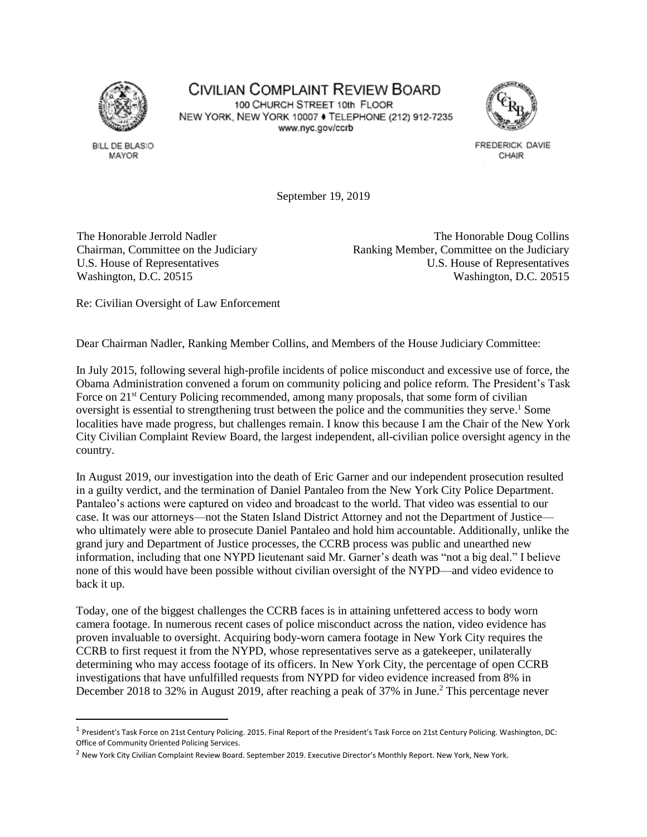

**BILL DE BLASIO** MAYOR

l

## **CIVILIAN COMPLAINT REVIEW BOARD** 100 CHURCH STREET 10th FLOOR NEW YORK, NEW YORK 10007 ♦ TELEPHONE (212) 912-7235 www.nyc.gov/ccrb



FREDERICK DAVIE CHAIR

September 19, 2019

The Honorable Jerrold Nadler Chairman, Committee on the Judiciary U.S. House of Representatives Washington, D.C. 20515

The Honorable Doug Collins Ranking Member, Committee on the Judiciary U.S. House of Representatives Washington, D.C. 20515

Re: Civilian Oversight of Law Enforcement

Dear Chairman Nadler, Ranking Member Collins, and Members of the House Judiciary Committee:

In July 2015, following several high-profile incidents of police misconduct and excessive use of force, the Obama Administration convened a forum on community policing and police reform. The President's Task Force on 21<sup>st</sup> Century Policing recommended, among many proposals, that some form of civilian oversight is essential to strengthening trust between the police and the communities they serve. <sup>1</sup> Some localities have made progress, but challenges remain. I know this because I am the Chair of the New York City Civilian Complaint Review Board, the largest independent, all-civilian police oversight agency in the country.

In August 2019, our investigation into the death of Eric Garner and our independent prosecution resulted in a guilty verdict, and the termination of Daniel Pantaleo from the New York City Police Department. Pantaleo's actions were captured on video and broadcast to the world. That video was essential to our case. It was our attorneys—not the Staten Island District Attorney and not the Department of Justice who ultimately were able to prosecute Daniel Pantaleo and hold him accountable. Additionally, unlike the grand jury and Department of Justice processes, the CCRB process was public and unearthed new information, including that one NYPD lieutenant said Mr. Garner's death was "not a big deal." I believe none of this would have been possible without civilian oversight of the NYPD—and video evidence to back it up.

Today, one of the biggest challenges the CCRB faces is in attaining unfettered access to body worn camera footage. In numerous recent cases of police misconduct across the nation, video evidence has proven invaluable to oversight. Acquiring body-worn camera footage in New York City requires the CCRB to first request it from the NYPD, whose representatives serve as a gatekeeper, unilaterally determining who may access footage of its officers. In New York City, the percentage of open CCRB investigations that have unfulfilled requests from NYPD for video evidence increased from 8% in December 2018 to 32% in August 2019, after reaching a peak of 37% in June.<sup>2</sup> This percentage never

<sup>&</sup>lt;sup>1</sup> President's Task Force on 21st Century Policing. 2015. Final Report of the President's Task Force on 21st Century Policing. Washington, DC: Office of Community Oriented Policing Services.

<sup>&</sup>lt;sup>2</sup> New York City Civilian Complaint Review Board. September 2019. Executive Director's Monthly Report. New York, New York.